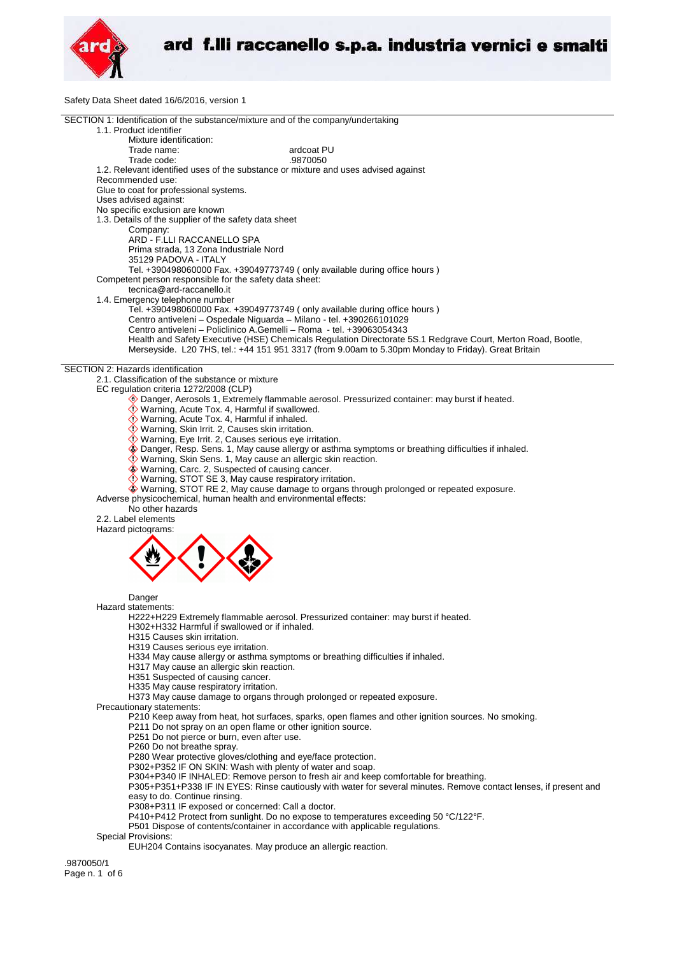

Safety Data Sheet dated 16/6/2016, version 1

| SECTION 1: Identification of the substance/mixture and of the company/undertaking                                                                          |
|------------------------------------------------------------------------------------------------------------------------------------------------------------|
| 1.1. Product identifier                                                                                                                                    |
| Mixture identification:                                                                                                                                    |
| Trade name:<br>ardcoat PU                                                                                                                                  |
| .9870050<br>Trade code:                                                                                                                                    |
| 1.2. Relevant identified uses of the substance or mixture and uses advised against<br>Recommended use:                                                     |
| Glue to coat for professional systems.<br>Uses advised against:                                                                                            |
| No specific exclusion are known                                                                                                                            |
| 1.3. Details of the supplier of the safety data sheet                                                                                                      |
| Company:                                                                                                                                                   |
| ARD - F.LLI RACCANELLO SPA                                                                                                                                 |
| Prima strada, 13 Zona Industriale Nord<br>35129 PADOVA - ITALY                                                                                             |
| Tel. +390498060000 Fax. +39049773749 (only available during office hours)                                                                                  |
| Competent person responsible for the safety data sheet:                                                                                                    |
| tecnica@ard-raccanello.it                                                                                                                                  |
| 1.4. Emergency telephone number                                                                                                                            |
| Tel. +390498060000 Fax. +39049773749 (only available during office hours)<br>Centro antiveleni - Ospedale Niguarda - Milano - tel. +390266101029           |
| Centro antiveleni - Policlinico A.Gemelli - Roma - tel. +39063054343                                                                                       |
| Health and Safety Executive (HSE) Chemicals Regulation Directorate 5S.1 Redgrave Court, Merton Road, Bootle,                                               |
| Merseyside. L20 7HS, tel.: +44 151 951 3317 (from 9.00am to 5.30pm Monday to Friday). Great Britain                                                        |
| SECTION 2: Hazards identification                                                                                                                          |
| 2.1. Classification of the substance or mixture                                                                                                            |
| EC regulation criteria 1272/2008 (CLP)                                                                                                                     |
| ◈ Danger, Aerosols 1, Extremely flammable aerosol. Pressurized container: may burst if heated.                                                             |
| Warning, Acute Tox. 4, Harmful if swallowed.                                                                                                               |
| Warning, Acute Tox. 4, Harmful if inhaled.                                                                                                                 |
| Warning, Skin Irrit. 2, Causes skin irritation.<br>Warning, Eye Irrit. 2, Causes serious eye irritation.                                                   |
| ♦ Danger, Resp. Sens. 1, May cause allergy or asthma symptoms or breathing difficulties if inhaled.                                                        |
| Warning, Skin Sens. 1, May cause an allergic skin reaction.                                                                                                |
| ♦ Warning, Carc. 2, Suspected of causing cancer.                                                                                                           |
| Warning, STOT SE 3, May cause respiratory irritation.                                                                                                      |
| Warning, STOT RE 2, May cause damage to organs through prolonged or repeated exposure.<br>Adverse physicochemical, human health and environmental effects: |
| No other hazards                                                                                                                                           |
| 2.2. Label elements                                                                                                                                        |
|                                                                                                                                                            |
| Hazard pictograms:                                                                                                                                         |
|                                                                                                                                                            |
|                                                                                                                                                            |
|                                                                                                                                                            |
|                                                                                                                                                            |
| Danger                                                                                                                                                     |
| Hazard statements:                                                                                                                                         |
| H222+H229 Extremely flammable aerosol. Pressurized container: may burst if heated.                                                                         |
| H302+H332 Harmful if swallowed or if inhaled.                                                                                                              |
| H315 Causes skin irritation.                                                                                                                               |
| H319 Causes serious eye irritation.                                                                                                                        |
| H334 May cause allergy or asthma symptoms or breathing difficulties if inhaled.<br>H317 May cause an allergic skin reaction.                               |
| H351 Suspected of causing cancer.                                                                                                                          |
| H335 May cause respiratory irritation.                                                                                                                     |
| H373 May cause damage to organs through prolonged or repeated exposure.                                                                                    |
| Precautionary statements:                                                                                                                                  |
| P210 Keep away from heat, hot surfaces, sparks, open flames and other ignition sources. No smoking.                                                        |
| P211 Do not spray on an open flame or other ignition source.<br>P251 Do not pierce or burn, even after use.                                                |
| P260 Do not breathe spray.                                                                                                                                 |
| P280 Wear protective gloves/clothing and eye/face protection.                                                                                              |
| P302+P352 IF ON SKIN: Wash with plenty of water and soap.                                                                                                  |
| P304+P340 IF INHALED: Remove person to fresh air and keep comfortable for breathing.                                                                       |
| P305+P351+P338 IF IN EYES: Rinse cautiously with water for several minutes. Remove contact lenses, if present and                                          |
| easy to do. Continue rinsing.                                                                                                                              |
| P308+P311 IF exposed or concerned: Call a doctor.<br>P410+P412 Protect from sunlight. Do no expose to temperatures exceeding 50 °C/122°F.                  |
| P501 Dispose of contents/container in accordance with applicable regulations.                                                                              |
| Special Provisions:<br>EUH204 Contains isocyanates. May produce an allergic reaction.                                                                      |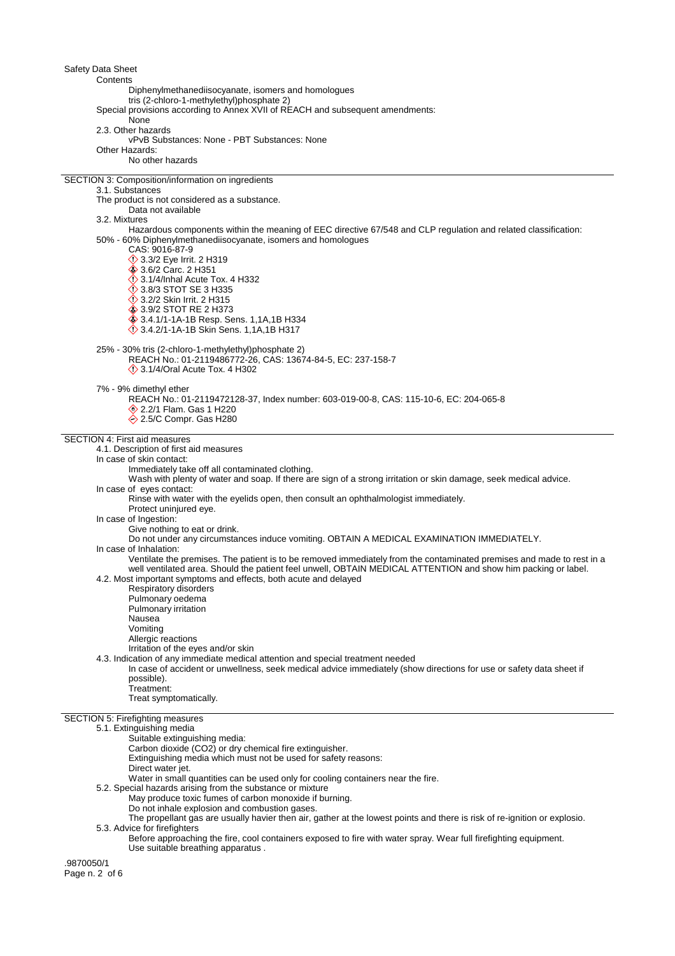**Contents** Diphenylmethanediisocyanate, isomers and homologues tris (2-chloro-1-methylethyl)phosphate 2) Special provisions according to Annex XVII of REACH and subsequent amendments: None 2.3. Other hazards vPvB Substances: None - PBT Substances: None Other Hazards: No other hazards SECTION 3: Composition/information on ingredients 3.1. Substances The product is not considered as a substance. Data not available 3.2. Mixtures Hazardous components within the meaning of EEC directive 67/548 and CLP regulation and related classification: 50% - 60% Diphenylmethanediisocyanate, isomers and homologues CAS: 9016-87-9 **12 3.3/2 Eye Irrit. 2 H319** ♦ 3.6/2 Carc. 2 H351  $\diamondsuit$  3.1/4/Inhal Acute Tox. 4 H332 **12 3.8/3 STOT SE 3 H335** 3.2/2 Skin Irrit. 2 H315 3.9/2 STOT RE 2 H373 3.4.1/1-1A-1B Resp. Sens. 1,1A,1B H334 3.4.2/1-1A-1B Skin Sens. 1,1A,1B H317 25% - 30% tris (2-chloro-1-methylethyl)phosphate 2) REACH No.: 01-2119486772-26, CAS: 13674-84-5, EC: 237-158-7 3.1/4/Oral Acute Tox. 4 H302 7% - 9% dimethyl ether REACH No.: 01-2119472128-37, Index number: 603-019-00-8, CAS: 115-10-6, EC: 204-065-8 **♦ 2.2/1 Flam. Gas 1 H220**  $\diamondsuit$  2.5/C Compr. Gas H280 SECTION 4: First aid measures 4.1. Description of first aid measures In case of skin contact: Immediately take off all contaminated clothing. Wash with plenty of water and soap. If there are sign of a strong irritation or skin damage, seek medical advice. In case of eyes contact: Rinse with water with the eyelids open, then consult an ophthalmologist immediately. Protect uninjured eye. In case of Ingestion: Give nothing to eat or drink. Do not under any circumstances induce vomiting. OBTAIN A MEDICAL EXAMINATION IMMEDIATELY. In case of Inhalation: Ventilate the premises. The patient is to be removed immediately from the contaminated premises and made to rest in a well ventilated area. Should the patient feel unwell, OBTAIN MEDICAL ATTENTION and show him packing or label. 4.2. Most important symptoms and effects, both acute and delayed Respiratory disorders Pulmonary oedema Pulmonary irritation Nausea Vomiting Allergic reactions Irritation of the eyes and/or skin 4.3. Indication of any immediate medical attention and special treatment needed In case of accident or unwellness, seek medical advice immediately (show directions for use or safety data sheet if possible). Treatment: Treat symptomatically. SECTION 5: Firefighting measures 5.1. Extinguishing media Suitable extinguishing media: Carbon dioxide (CO2) or dry chemical fire extinguisher. Extinguishing media which must not be used for safety reasons: Direct water jet. Water in small quantities can be used only for cooling containers near the fire.

- 5.2. Special hazards arising from the substance or mixture
	- May produce toxic fumes of carbon monoxide if burning.
	- Do not inhale explosion and combustion gases.

The propellant gas are usually havier then air, gather at the lowest points and there is risk of re-ignition or explosio. 5.3. Advice for firefighters

Before approaching the fire, cool containers exposed to fire with water spray. Wear full firefighting equipment. Use suitable breathing apparatus .

.9870050/1 Page n. 2 of 6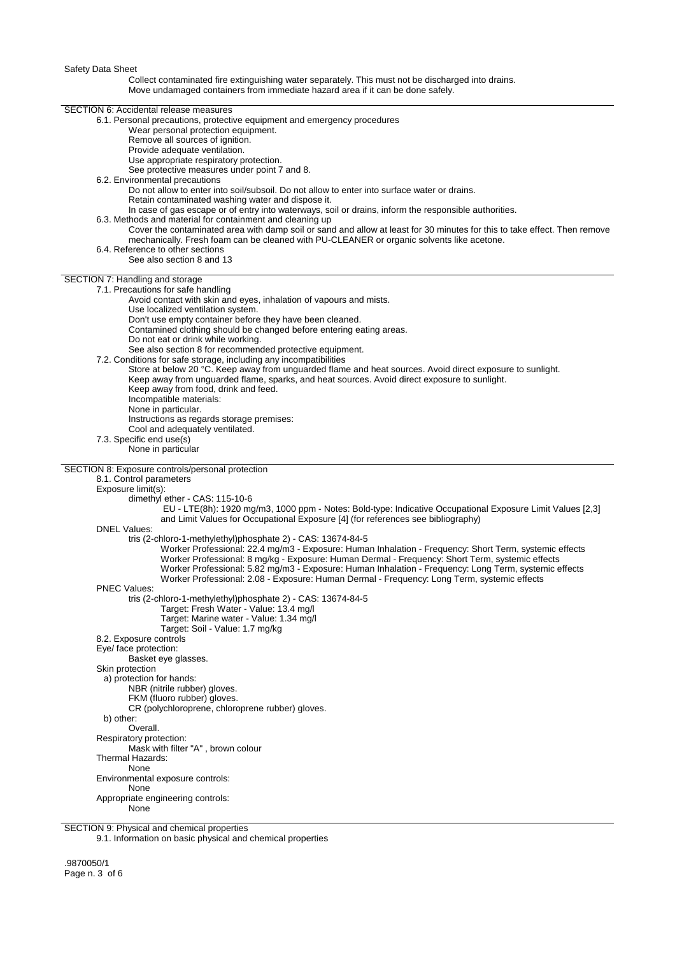Collect contaminated fire extinguishing water separately. This must not be discharged into drains. Move undamaged containers from immediate hazard area if it can be done safely.

SECTION 6: Accidental release measures 6.1. Personal precautions, protective equipment and emergency procedures Wear personal protection equipment. Remove all sources of ignition. Provide adequate ventilation. Use appropriate respiratory protection. See protective measures under point 7 and 8. 6.2. Environmental precautions Do not allow to enter into soil/subsoil. Do not allow to enter into surface water or drains. Retain contaminated washing water and dispose it. In case of gas escape or of entry into waterways, soil or drains, inform the responsible authorities. 6.3. Methods and material for containment and cleaning up Cover the contaminated area with damp soil or sand and allow at least for 30 minutes for this to take effect. Then remove mechanically. Fresh foam can be cleaned with PU-CLEANER or organic solvents like acetone. 6.4. Reference to other sections See also section 8 and 13 SECTION 7: Handling and storage 7.1. Precautions for safe handling Avoid contact with skin and eyes, inhalation of vapours and mists. Use localized ventilation system. Don't use empty container before they have been cleaned. Contamined clothing should be changed before entering eating areas. Do not eat or drink while working. See also section 8 for recommended protective equipment. 7.2. Conditions for safe storage, including any incompatibilities Store at below 20 °C. Keep away from unguarded flame and heat sources. Avoid direct exposure to sunlight. Keep away from unguarded flame, sparks, and heat sources. Avoid direct exposure to sunlight. Keep away from food, drink and feed. Incompatible materials: None in particular. Instructions as regards storage premises: Cool and adequately ventilated. 7.3. Specific end use(s) None in particular SECTION 8: Exposure controls/personal protection 8.1. Control parameters Exposure limit(s): dimethyl ether - CAS: 115-10-6 EU - LTE(8h): 1920 mg/m3, 1000 ppm - Notes: Bold-type: Indicative Occupational Exposure Limit Values [2,3] and Limit Values for Occupational Exposure [4] (for references see bibliography) DNEL Values: tris (2-chloro-1-methylethyl)phosphate 2) - CAS: 13674-84-5 Worker Professional: 22.4 mg/m3 - Exposure: Human Inhalation - Frequency: Short Term, systemic effects Worker Professional: 8 mg/kg - Exposure: Human Dermal - Frequency: Short Term, systemic effects Worker Professional: 5.82 mg/m3 - Exposure: Human Inhalation - Frequency: Long Term, systemic effects Worker Professional: 2.08 - Exposure: Human Dermal - Frequency: Long Term, systemic effects PNEC Values: tris (2-chloro-1-methylethyl)phosphate 2) - CAS: 13674-84-5 Target: Fresh Water - Value: 13.4 mg/l Target: Marine water - Value: 1.34 mg/l Target: Soil - Value: 1.7 mg/kg 8.2. Exposure controls Eye/ face protection: Basket eye glasses. Skin protection a) protection for hands: NBR (nitrile rubber) gloves. FKM (fluoro rubber) gloves. CR (polychloroprene, chloroprene rubber) gloves. b) other: Overall. Respiratory protection: Mask with filter "A" , brown colour Thermal Hazards: None Environmental exposure controls: None Appropriate engineering controls: None

SECTION 9: Physical and chemical properties

9.1. Information on basic physical and chemical properties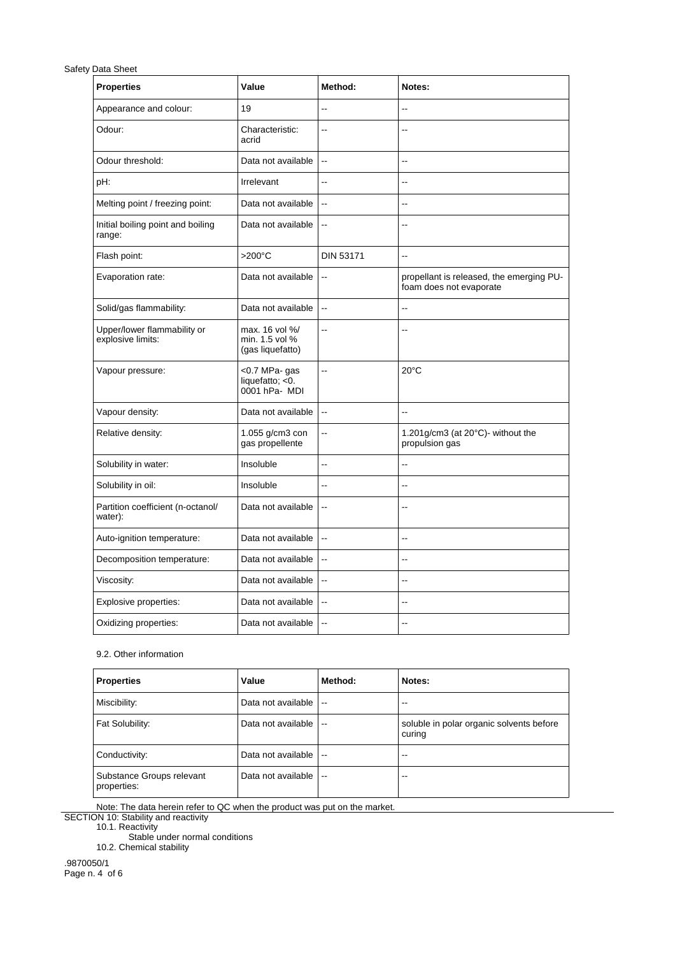| <b>Properties</b>                                | Value                                                | Method:                  | Notes:                                                              |
|--------------------------------------------------|------------------------------------------------------|--------------------------|---------------------------------------------------------------------|
| Appearance and colour:                           | 19                                                   | $-$                      | --                                                                  |
| Odour:                                           | Characteristic:<br>acrid                             | $\overline{\phantom{a}}$ | Ξ.                                                                  |
| Odour threshold:                                 | Data not available                                   | $\overline{\phantom{a}}$ | $-$                                                                 |
| pH:                                              | Irrelevant                                           | $\overline{\phantom{a}}$ | --                                                                  |
| Melting point / freezing point:                  | Data not available                                   | $\overline{\phantom{a}}$ | ۵.                                                                  |
| Initial boiling point and boiling<br>range:      | Data not available                                   | --                       | $-$                                                                 |
| Flash point:                                     | $>200^{\circ}$ C                                     | <b>DIN 53171</b>         | $\ddot{\phantom{a}}$                                                |
| Evaporation rate:                                | Data not available                                   | $\overline{\phantom{a}}$ | propellant is released, the emerging PU-<br>foam does not evaporate |
| Solid/gas flammability:                          | Data not available                                   | $\ddotsc$                | Ξ.                                                                  |
| Upper/lower flammability or<br>explosive limits: | max. 16 vol %/<br>min. 1.5 vol %<br>(gas liquefatto) | $\overline{a}$           | $\sim$                                                              |
| Vapour pressure:                                 | <0.7 MPa-gas<br>liquefatto; <0.<br>0001 hPa- MDI     | $\overline{\phantom{a}}$ | $20^{\circ}$ C                                                      |
| Vapour density:                                  | Data not available                                   | $\ddotsc$                | ٠.                                                                  |
| Relative density:                                | 1.055 g/cm3 con<br>gas propellente                   | --                       | 1.201g/cm3 (at 20°C)- without the<br>propulsion gas                 |
| Solubility in water:                             | Insoluble                                            | $\overline{\phantom{a}}$ | Ξ.                                                                  |
| Solubility in oil:                               | Insoluble                                            | Ξ.                       | ۵.                                                                  |
| Partition coefficient (n-octanol/<br>water):     | Data not available                                   | $\overline{a}$           | --                                                                  |
| Auto-ignition temperature:                       | Data not available                                   | $\overline{\phantom{a}}$ | --                                                                  |
| Decomposition temperature:                       | Data not available                                   | $\overline{\phantom{a}}$ | $-$                                                                 |
| Viscosity:                                       | Data not available                                   | $\ddotsc$                | ۵.                                                                  |
| Explosive properties:                            | Data not available                                   | $\overline{\phantom{a}}$ | ۵.                                                                  |
| Oxidizing properties:                            | Data not available                                   | $\overline{a}$           | $-$                                                                 |

# 9.2. Other information

| <b>Properties</b>                        | Value              | Method:                  | Notes:                                             |
|------------------------------------------|--------------------|--------------------------|----------------------------------------------------|
| Miscibility:                             | Data not available | $\overline{\phantom{a}}$ | --                                                 |
| Fat Solubility:                          | Data not available | $\overline{\phantom{a}}$ | soluble in polar organic solvents before<br>curing |
| Conductivity:                            | Data not available | $\overline{\phantom{a}}$ | --                                                 |
| Substance Groups relevant<br>properties: | Data not available | $\overline{\phantom{a}}$ | --                                                 |

Note: The data herein refer to QC when the product was put on the market.

SECTION 10: Stability and reactivity

10.1. Reactivity

Stable under normal conditions

10.2. Chemical stability

.9870050/1 Page n. 4 of 6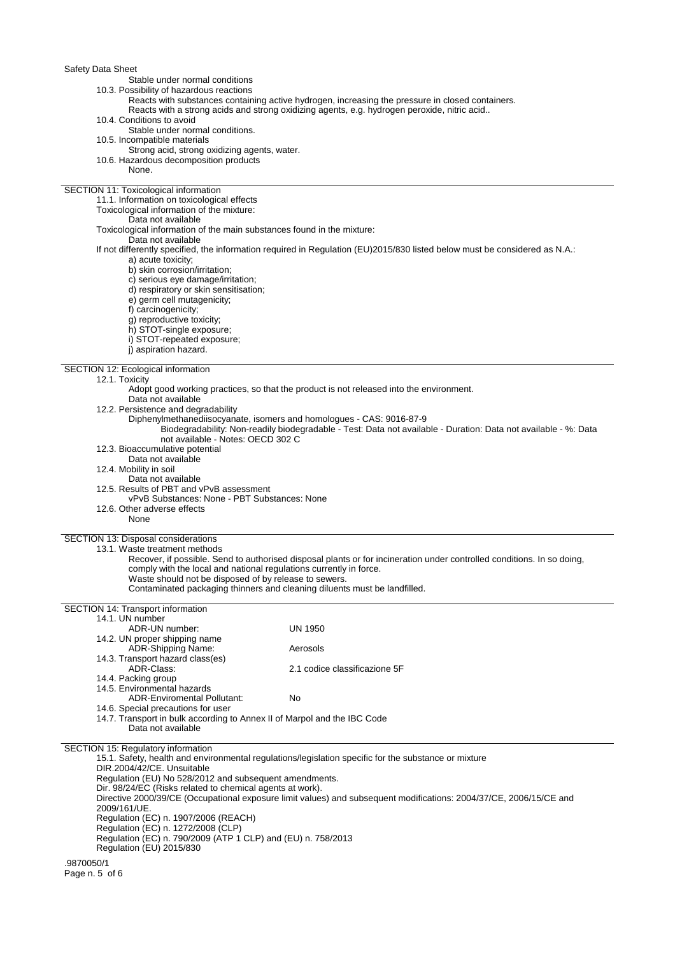Stable under normal conditions

10.3. Possibility of hazardous reactions

- Reacts with substances containing active hydrogen, increasing the pressure in closed containers.
- Reacts with a strong acids and strong oxidizing agents, e.g. hydrogen peroxide, nitric acid..
- 10.4. Conditions to avoid
- Stable under normal conditions.
- 10.5. Incompatible materials
	- Strong acid, strong oxidizing agents, water.
- 10.6. Hazardous decomposition products
- None.

SECTION 11: Toxicological information

11.1. Information on toxicological effects

Toxicological information of the mixture:

Data not available

Toxicological information of the main substances found in the mixture:

- Data not available
- If not differently specified, the information required in Regulation (EU)2015/830 listed below must be considered as N.A.: a) acute toxicity;
	- b) skin corrosion/irritation;
	- c) serious eye damage/irritation;
	- d) respiratory or skin sensitisation;
	- e) germ cell mutagenicity;
	- f) carcinogenicity:
	- g) reproductive toxicity;
	- h) STOT-single exposure;
	- i) STOT-repeated exposure;
	- j) aspiration hazard.

SECTION 12: Ecological information

### 12.1. Toxicity

- Adopt good working practices, so that the product is not released into the environment.
- Data not available
- 12.2. Persistence and degradability
	- Diphenylmethanediisocyanate, isomers and homologues CAS: 9016-87-9
	- Biodegradability: Non-readily biodegradable Test: Data not available Duration: Data not available %: Data not available - Notes: OECD 302 C
- 12.3. Bioaccumulative potential
- Data not available
- 12.4. Mobility in soil
	- Data not available
- 12.5. Results of PBT and vPvB assessment
	- vPvB Substances: None PBT Substances: None
- 12.6. Other adverse effects

None

SECTION 13: Disposal considerations

13.1. Waste treatment methods

Recover, if possible. Send to authorised disposal plants or for incineration under controlled conditions. In so doing, comply with the local and national regulations currently in force.

- Waste should not be disposed of by release to sewers.
- Contaminated packaging thinners and cleaning diluents must be landfilled.

| <b>SECTION 14: Transport information</b>                                                                           |                                                                                                      |  |  |  |  |
|--------------------------------------------------------------------------------------------------------------------|------------------------------------------------------------------------------------------------------|--|--|--|--|
| 14.1. UN number                                                                                                    |                                                                                                      |  |  |  |  |
| ADR-UN number:                                                                                                     | UN 1950                                                                                              |  |  |  |  |
| 14.2. UN proper shipping name                                                                                      |                                                                                                      |  |  |  |  |
| ADR-Shipping Name:                                                                                                 | Aerosols                                                                                             |  |  |  |  |
| 14.3. Transport hazard class(es)                                                                                   |                                                                                                      |  |  |  |  |
| ADR-Class:                                                                                                         | 2.1 codice classificazione 5F                                                                        |  |  |  |  |
| 14.4. Packing group                                                                                                |                                                                                                      |  |  |  |  |
| 14.5. Environmental hazards                                                                                        |                                                                                                      |  |  |  |  |
| ADR-Enviromental Pollutant:                                                                                        | No                                                                                                   |  |  |  |  |
| 14.6. Special precautions for user                                                                                 |                                                                                                      |  |  |  |  |
| 14.7. Transport in bulk according to Annex II of Marpol and the IBC Code                                           |                                                                                                      |  |  |  |  |
| Data not available                                                                                                 |                                                                                                      |  |  |  |  |
| <b>SECTION 15: Regulatory information</b>                                                                          |                                                                                                      |  |  |  |  |
|                                                                                                                    | 15.1. Safety, health and environmental regulations/legislation specific for the substance or mixture |  |  |  |  |
| DIR.2004/42/CE, Unsuitable                                                                                         |                                                                                                      |  |  |  |  |
| Regulation (EU) No 528/2012 and subsequent amendments.                                                             |                                                                                                      |  |  |  |  |
| Dir. 98/24/EC (Risks related to chemical agents at work).                                                          |                                                                                                      |  |  |  |  |
| Directive 2000/39/CE (Occupational exposure limit values) and subsequent modifications: 2004/37/CE, 2006/15/CE and |                                                                                                      |  |  |  |  |
| 2009/161/UE.                                                                                                       |                                                                                                      |  |  |  |  |
| Regulation (EC) n. 1907/2006 (REACH)                                                                               |                                                                                                      |  |  |  |  |
| Regulation (EC) n. 1272/2008 (CLP)                                                                                 |                                                                                                      |  |  |  |  |

- Regulation (EC) n. 790/2009 (ATP 1 CLP) and (EU) n. 758/2013
- Regulation (EU) 2015/830

.9870050/1 Page n. 5 of 6